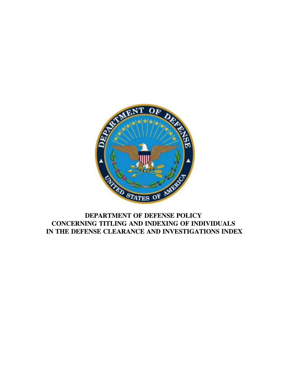

# **DEPARTMENT OF DEFENSE POLICY CONCERNING TITLING AND INDEXING OF INDIVIDUALS IN THE DEFENSE CLEARANCE AND INVESTIGATIONS INDEX**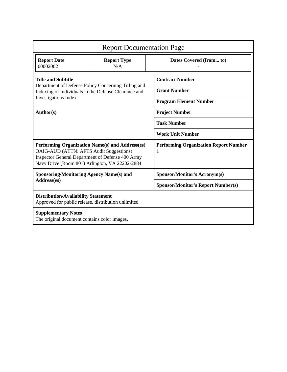| <b>Report Documentation Page</b>                                                                                                                                                                 |                           |                                                   |
|--------------------------------------------------------------------------------------------------------------------------------------------------------------------------------------------------|---------------------------|---------------------------------------------------|
| <b>Report Date</b><br>00002002                                                                                                                                                                   | <b>Report Type</b><br>N/A | Dates Covered (from to)                           |
| <b>Title and Subtitle</b><br>Department of Defense Policy Concerning Titling and<br>Indexing of Individuals in the Defense Clearance and<br><b>Investigations Index</b>                          |                           | <b>Contract Number</b>                            |
|                                                                                                                                                                                                  |                           | <b>Grant Number</b>                               |
|                                                                                                                                                                                                  |                           | <b>Program Element Number</b>                     |
| Author(s)                                                                                                                                                                                        |                           | <b>Project Number</b>                             |
|                                                                                                                                                                                                  |                           | <b>Task Number</b>                                |
|                                                                                                                                                                                                  |                           | <b>Work Unit Number</b>                           |
| Performing Organization Name(s) and Address(es)<br>OAIG-AUD (ATTN: AFTS Audit Suggestions)<br>Inspector General Department of Defense 400 Army<br>Navy Drive (Room 801) Arlington, VA 22202-2884 |                           | <b>Performing Organization Report Number</b><br>1 |
| <b>Sponsoring/Monitoring Agency Name(s) and</b><br>Address(es)                                                                                                                                   |                           | Sponsor/Monitor's Acronym(s)                      |
|                                                                                                                                                                                                  |                           | <b>Sponsor/Monitor's Report Number(s)</b>         |
| <b>Distribution/Availability Statement</b><br>Approved for public release, distribution unlimited                                                                                                |                           |                                                   |
| <b>Supplementary Notes</b><br>The original document contains color images.                                                                                                                       |                           |                                                   |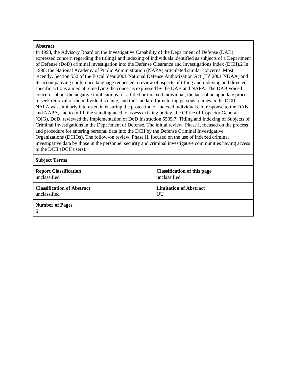#### **Abstract**

In 1993, the Advisory Board on the Investigative Capability of the Department of Defense (DAB) expressed concern regarding the titling1 and indexing of individuals identified as subjects of a Department of Defense (DoD) criminal investigation into the Defense Clearance and Investigations Index (DCII).2 In 1998, the National Academy of Public Administration (NAPA) articulated similar concerns. Most recently, Section 552 of the Fiscal Year 2001 National Defense Authorization Act (FY 2001 NDAA) and its accompanying conference language requested a review of aspects of titling and indexing and directed specific actions aimed at remedying the concerns expressed by the DAB and NAPA. The DAB voiced concerns about the negative implications for a titled or indexed individual, the lack of an appellate process to seek removal of the individual's name, and the standard for entering persons' names in the DCII. NAPA was similarly interested in ensuring the protection of indexed individuals. In response to the DAB and NAPA, and to fulfill the standing need to assess existing policy, the Office of Inspector General (OIG), DoD, reviewed the implementation of DoD Instruction 5505.7, Titling and Indexing of Subjects of Criminal Investigations in the Department of Defense. The initial review, Phase I, focused on the process and procedure for entering personal data into the DCII by the Defense Criminal Investigative Organizations (DCIOs). The follow-on review, Phase II, focused on the use of indexed criminal investigative data by those in the personnel security and criminal investigative communities having access to the DCII (DCII users).

**Subject Terms**

| <b>Report Classification</b>      | <b>Classification of this page</b> |
|-----------------------------------|------------------------------------|
| unclassified                      | unclassified                       |
| <b>Classification of Abstract</b> | <b>Limitation of Abstract</b>      |
| unclassified                      | UU                                 |
| <b>Number of Pages</b><br>6       |                                    |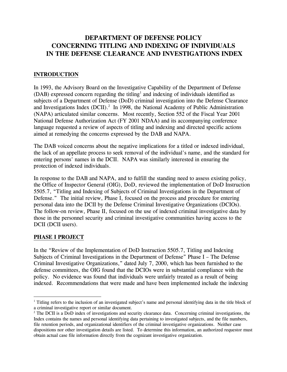## **DEPARTMENT OF DEFENSE POLICY CONCERNING TITLING AND INDEXING OF INDIVIDUALS IN THE DEFENSE CLEARANCE AND INVESTIGATIONS INDEX**

#### **INTRODUCTION**

In 1993, the Advisory Board on the Investigative Capability of the Department of Defense  $(DAB)$  expressed concern regarding the titling<sup>[1](#page-3-0)</sup> and indexing of individuals identified as subjects of a Department of Defense (DoD) criminal investigation into the Defense Clearance and Investigations Index (DCII).<sup>2</sup> In 1998, the National Academy of Public Administration (NAPA) articulated similar concerns. Most recently, Section 552 of the Fiscal Year 2001 National Defense Authorization Act (FY 2001 NDAA) and its accompanying conference language requested a review of aspects of titling and indexing and directed specific actions aimed at remedying the concerns expressed by the DAB and NAPA.

The DAB voiced concerns about the negative implications for a titled or indexed individual, the lack of an appellate process to seek removal of the individual's name, and the standard for entering persons' names in the DCII. NAPA was similarly interested in ensuring the protection of indexed individuals.

In response to the DAB and NAPA, and to fulfill the standing need to assess existing policy, the Office of Inspector General (OIG), DoD, reviewed the implementation of DoD Instruction 5505.7, "Titling and Indexing of Subjects of Criminal Investigations in the Department of Defense." The initial review, Phase I, focused on the process and procedure for entering personal data into the DCII by the Defense Criminal Investigative Organizations (DCIOs). The follow-on review, Phase II, focused on the use of indexed criminal investigative data by those in the personnel security and criminal investigative communities having access to the DCII (DCII users).

#### **PHASE I PROJECT**

i<br>Li

In the "Review of the Implementation of DoD Instruction 5505.7, Titling and Indexing Subjects of Criminal Investigations in the Department of Defense" Phase I – The Defense Criminal Investigative Organizations," dated July 7, 2000, which has been furnished to the defense committees, the OIG found that the DCIOs were in substantial compliance with the policy. No evidence was found that individuals were unfairly treated as a result of being indexed. Recommendations that were made and have been implemented include the indexing

<span id="page-3-0"></span><sup>&</sup>lt;sup>1</sup> Titling refers to the inclusion of an investigated subject's name and personal identifying data in the title block of a criminal investigative report or similar document.

<span id="page-3-1"></span><sup>&</sup>lt;sup>2</sup> The DCII is a DoD index of investigations and security clearance data. Concerning criminal investigations, the Index contains the names and personal identifying data pertaining to investigated subjects, and the file numbers, file retention periods, and organizational identifiers of the criminal investigative organizations. Neither case dispositions nor other investigation details are listed. To determine this information, an authorized requestor must obtain actual case file information directly from the cognizant investigative organization.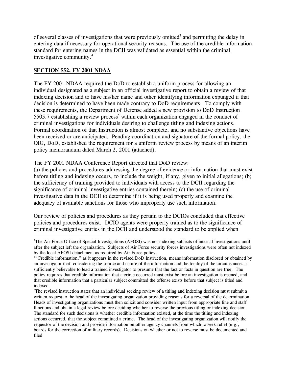of several classes of investigations that were previously omitted<sup>[3](#page-4-0)</sup> and permitting the delay in entering data if necessary for operational security reasons. The use of the credible information standard for entering names in the DCII was validated as essential within the criminal investigative community.[4](#page-4-1)

## **SECTION 552, FY 2001 NDAA**

The FY 2001 NDAA required the DoD to establish a uniform process for allowing an individual designated as a subject in an official investigative report to obtain a review of that indexing decision and to have his/her name and other identifying information expunged if that decision is determined to have been made contrary to DoD requirements. To comply with these requirements, the Department of Defense added a new provision to DoD Instruction [5](#page-4-2)505.7 establishing a review process<sup>5</sup> within each organization engaged in the conduct of criminal investigations for individuals desiring to challenge titling and indexing actions. Formal coordination of that Instruction is almost complete, and no substantive objections have been received or are anticipated. Pending coordination and signature of the formal policy, the OIG, DoD, established the requirement for a uniform review process by means of an interim policy memorandum dated March 2, 2001 (attached).

The FY 2001 NDAA Conference Report directed that DoD review:

(a) the policies and procedures addressing the degree of evidence or information that must exist before titling and indexing occurs, to include the weight, if any, given to initial allegations; (b) the sufficiency of training provided to individuals with access to the DCII regarding the significance of criminal investigative entries contained therein; (c) the use of criminal investigative data in the DCII to determine if it is being used properly and examine the adequacy of available sanctions for those who improperly use such information.

Our review of policies and procedures as they pertain to the DCIOs concluded that effective policies and procedures exist. DCIO agents were properly trained as to the significance of criminal investigative entries in the DCII and understood the standard to be applied when

<span id="page-4-0"></span>i<br>Li <sup>3</sup>The Air Force Office of Special Investigations (AFOSI) was not indexing subjects of internal investigations until after the subject left the organization. Subjects of Air Force security forces investigations were often not indexed by the local AFOSI detachment as required by Air Force policy.

<span id="page-4-1"></span><sup>&</sup>lt;sup>4</sup>"Credible information," as it appears in the revised DoD Instruction, means information disclosed or obtained by an investigator that, considering the source and nature of the information and the totality of the circumstances, is sufficiently believable to lead a trained investigator to presume that the fact or facts in question are true. The policy requires that credible information that a crime occurred must exist before an investigation is opened, and that credible information that a particular subject committed the offense exists before that subject is titled and indexed.

<span id="page-4-2"></span><sup>&</sup>lt;sup>5</sup>The revised instruction states that an individual seeking review of a titling and indexing decision must submit a written request to the head of the investigating organization providing reasons for a reversal of the determination. Heads of investigating organizations must then solicit and consider written input from appropriate line and staff functions and obtain a legal review before deciding whether to reverse the previous titling or indexing decision. The standard for such decisions is whether credible information existed, at the time the titling and indexing actions occurred, that the subject committed a crime. The head of the investigating organization will notify the requestor of the decision and provide information on other agency channels from which to seek relief (e.g., boards for the correction of military records). Decisions on whether or not to reverse must be documented and filed.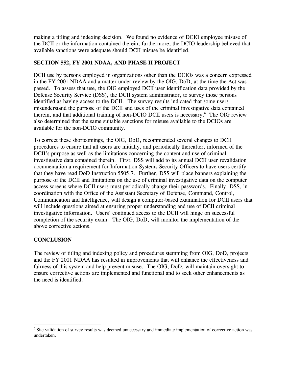making a titling and indexing decision. We found no evidence of DCIO employee misuse of the DCII or the information contained therein; furthermore, the DCIO leadership believed that available sanctions were adequate should DCII misuse be identified.

## **SECTION 552, FY 2001 NDAA, AND PHASE II PROJECT**

DCII use by persons employed in organizations other than the DCIOs was a concern expressed in the FY 2001 NDAA and a matter under review by the OIG, DoD, at the time the Act was passed. To assess that use, the OIG employed DCII user identification data provided by the Defense Security Service (DSS), the DCII system administrator, to survey those persons identified as having access to the DCII. The survey results indicated that some users misunderstand the purpose of the DCII and uses of the criminal investigative data contained therein, and that additional training of non-DCIO DCII users is necessary.<sup>[6](#page-5-0)</sup> The OIG review also determined that the same suitable sanctions for misuse available to the DCIOs are available for the non-DCIO community.

To correct these shortcomings, the OIG, DoD, recommended several changes to DCII procedures to ensure that all users are initially, and periodically thereafter, informed of the DCII's purpose as well as the limitations concerning the content and use of criminal investigative data contained therein. First, DSS will add to its annual DCII user revalidation documentation a requirement for Information Systems Security Officers to have users certify that they have read DoD Instruction 5505.7. Further, DSS will place banners explaining the purpose of the DCII and limitations on the use of criminal investigative data on the computer access screens where DCII users must periodically change their passwords. Finally, DSS, in coordination with the Office of the Assistant Secretary of Defense, Command, Control, Communication and Intelligence, will design a computer-based examination for DCII users that will include questions aimed at ensuring proper understanding and use of DCII criminal investigative information. Users' continued access to the DCII will hinge on successful completion of the security exam. The OIG, DoD, will monitor the implementation of the above corrective actions.

## **CONCLUSION**

i

The review of titling and indexing policy and procedures stemming from OIG, DoD, projects and the FY 2001 NDAA has resulted in improvements that will enhance the effectiveness and fairness of this system and help prevent misuse. The OIG, DoD, will maintain oversight to ensure corrective actions are implemented and functional and to seek other enhancements as the need is identified.

<span id="page-5-0"></span><sup>&</sup>lt;sup>6</sup> Site validation of survey results was deemed unnecessary and immediate implementation of corrective action was undertaken.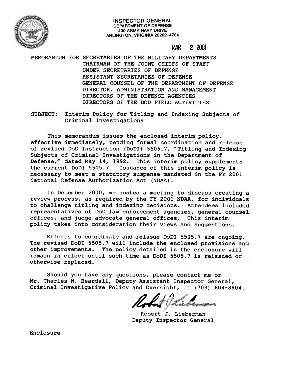

#### INSPECTOR GENERAL **INSPECTOR GENERAL** DEPARTMENT OF DEFENSE 400 ARMY NAVY DRIVE ARLINGTON. VIRGINIA 22202-4704 **DEPARTMENT OF DEFENSE400 ARMY NAVY DRIVEARLINGTON, VIRGINIA 22202-4704**

# f'I1A.R 2 <sup>2001</sup> **MAR 2 2001**

MEMORANDUM FOR SECRETARIES OF THE MILITARY DEPARTMENTS MEMORANDUM FOR SECRETARIES OF THE MILITARY DEPARTMENTS CHAIRMAN OF THE JOINT CHIEFS OF STAFF CHAIRMAN OF THE JOINT CHIEFS OF STAFF UNDER SECRETARIES OF DEFENSE UNDER SECRETARIES OF DEFENSE ASSISTANT SECRETARIES OF DEFENSE ASSISTANT SECRETARIES OF DEFENSE GENERAL COUNSEL OF THE DEPARTMENT OF DEFENSE GENERAL COUNSEL OF THE DEPARTMENT OF DEFENSE DIRECTOR, ADMINISTRATION AND MANAGEMENT DIRECTOR, ADMINISTRATION AND MANAGEMENT DIRECTORS OF THE DEFENSE AGENCIES DIRECTORS OF THE DEFENSE AGENCIES DIRECTORS OF THE DOD FIELD ACTIVITIES DIRECTORS OF THE DOD FIELD ACTIVITIES

SUBJECT: Interim Policy for Titling and Indexing Subjects of SUBJECT: Interim Policy for Titling and Indexing Subjects of Criminal Investigations Criminal Investigations

This memorandum issues the enclosed interim policy, This memorandum issues the enclosed interim policy, effective immediately, pending formal coordination and release effective immediately, pending formal coordination and release of revised 000 Instruction (0001) 5505.7, "Titling and Indexing of revised DoD Instruction (DoDI) 5505.7, "Titling and Indexing Subjects of Criminal Investigations in the Department of Subjects of Criminal Investigations in the Department of Defense," dated May 14, 1992. This interim policy supplements Defense," dated May 14, 1992. This interim policy supplements the current 0001 5505.7. Issuance of this interim policy is the current DoDI 5505.7. Issuance of this interim policy is necessary to meet a statutory suspense mandated in the FY 2001 necessary to meet a statutory suspense mandated in the FY 2001 National Defense Authorization Act (NOAA). National Defense Authorization Act (NDAA).

In December 2000, we hosted a meeting to discuss creating a In December 2000, we hosted a meeting to discuss creating a review process, as required by the FY 2001 NOAA, for individuals review process, as required by the FY 2001 NDAA, for individuals to challenge titling and indexing decisions. Attendees included to challenge titling and indexing decisions. Attendees included representatives of DoD law enforcement agencies, general counsel offices, and judge advocate general offices. This interim offices, and judge advocate general offices. This interim policy takes into consideration their views and suggestions. policy takes into consideration their views and suggestions.

Efforts to coordinate and reissue DoDI 5505.7 are ongoing. Efforts to coordinate and reissue DoDI 5505.7 are ongoing. The revised DoDI 5505.7 will include the enclosed provisions and The revised DoDI 5505.7 will include the enclosed provisions and other improvements. The policy detailed in the enclosure will remain in effect until such time as DoDI 5505.7 is reissued or otherwise replaced. otherwise replaced.

Should you have any questions, please contact me or Should you have any questions, please contact me or Mr. Charles W. Beardall, Deputy Assistant Inspector General, Mr. Charles W. Beardall, Deputy Assistant Inspector General, Criminal Investigative Policy and Oversight, at (703) 604-8804. Criminal Investigative Policy and Oversight, at (703) 604-8804.

14 th Liebern **<sup>4</sup>** *&A*

Robert J. Lieberman Robert J. Lieberman Deputy Inspector General Deputy Inspector General

Enclosure Enclosure